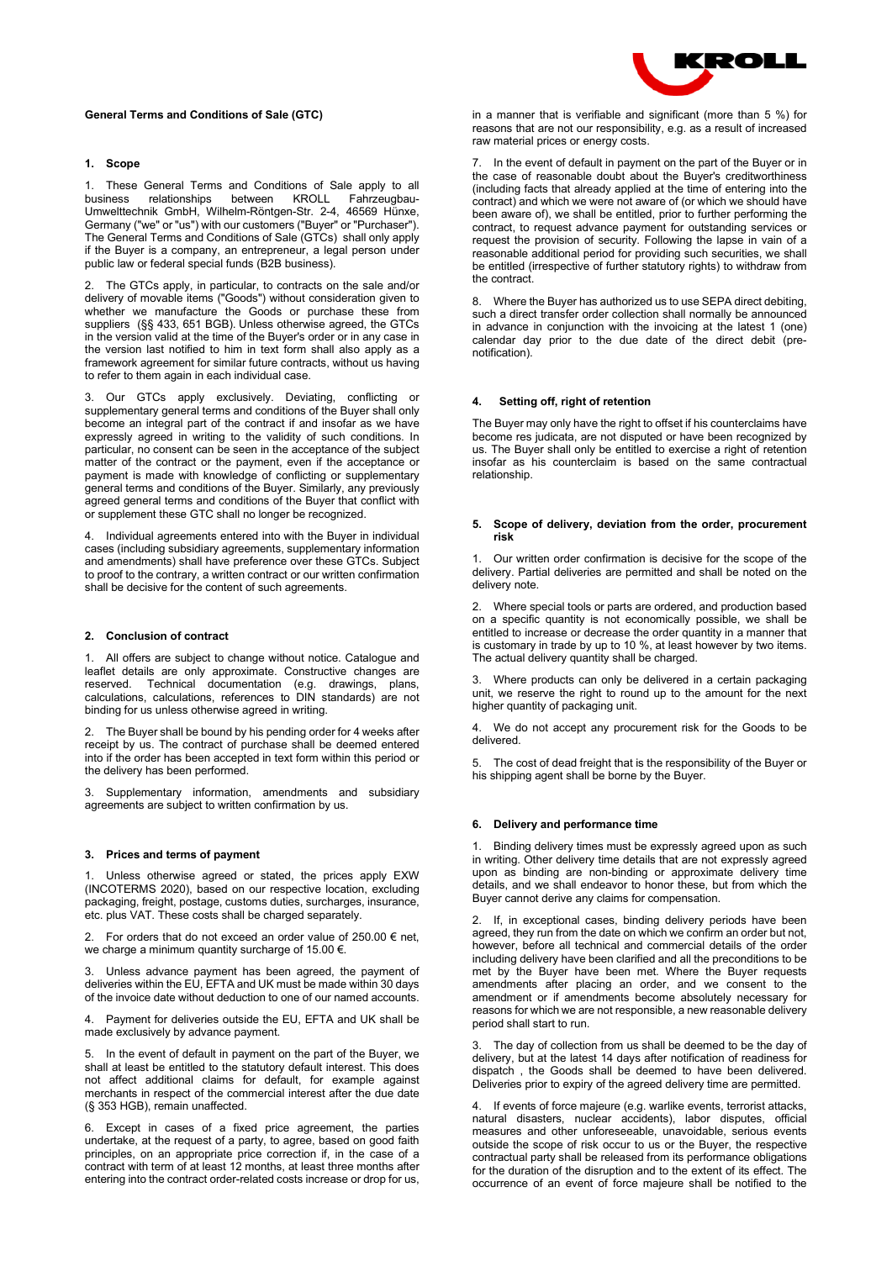# **General Terms and Conditions of Sale (GTC)**

# **1. Scope**

1. These General Terms and Conditions of Sale apply to all business relationships between KROLL Fahrzeugbau-Umwelttechnik GmbH, Wilhelm-Röntgen-Str. 2-4, 46569 Hünxe, Germany ("we" or "us") with our customers ("Buyer" or "Purchaser"). The General Terms and Conditions of Sale (GTCs) shall only apply if the Buyer is a company, an entrepreneur, a legal person under public law or federal special funds (B2B business).

The GTCs apply, in particular, to contracts on the sale and/or delivery of movable items ("Goods") without consideration given to whether we manufacture the Goods or purchase these from suppliers (§§ 433, 651 BGB). Unless otherwise agreed, the GTCs in the version valid at the time of the Buyer's order or in any case in the version last notified to him in text form shall also apply as a framework agreement for similar future contracts, without us having to refer to them again in each individual case.

3. Our GTCs apply exclusively. Deviating, conflicting or supplementary general terms and conditions of the Buyer shall only become an integral part of the contract if and insofar as we have expressly agreed in writing to the validity of such conditions. In particular, no consent can be seen in the acceptance of the subject matter of the contract or the payment, even if the acceptance or payment is made with knowledge of conflicting or supplementary general terms and conditions of the Buyer. Similarly, any previously agreed general terms and conditions of the Buyer that conflict with or supplement these GTC shall no longer be recognized.

4. Individual agreements entered into with the Buyer in individual cases (including subsidiary agreements, supplementary information and amendments) shall have preference over these GTCs. Subject to proof to the contrary, a written contract or our written confirmation shall be decisive for the content of such agreements.

# **2. Conclusion of contract**

All offers are subject to change without notice. Catalogue and leaflet details are only approximate. Constructive changes are reserved. Technical documentation (e.g. drawings, plans, calculations, calculations, references to DIN standards) are not binding for us unless otherwise agreed in writing.

2. The Buyer shall be bound by his pending order for 4 weeks after receipt by us. The contract of purchase shall be deemed entered into if the order has been accepted in text form within this period or the delivery has been performed.

3. Supplementary information, amendments and subsidiary agreements are subject to written confirmation by us.

#### **3. Prices and terms of payment**

Unless otherwise agreed or stated, the prices apply EXW (INCOTERMS 2020), based on our respective location, excluding packaging, freight, postage, customs duties, surcharges, insurance, etc. plus VAT. These costs shall be charged separately.

2. For orders that do not exceed an order value of  $250.00 \in$  net, we charge a minimum quantity surcharge of 15.00 €.

3. Unless advance payment has been agreed, the payment of deliveries within the EU, EFTA and UK must be made within 30 days of the invoice date without deduction to one of our named accounts.

4. Payment for deliveries outside the EU, EFTA and UK shall be made exclusively by advance payment.

5. In the event of default in payment on the part of the Buyer, we shall at least be entitled to the statutory default interest. This does not affect additional claims for default, for example against merchants in respect of the commercial interest after the due date (§ 353 HGB), remain unaffected.

6. Except in cases of a fixed price agreement, the parties undertake, at the request of a party, to agree, based on good faith principles, on an appropriate price correction if, in the case of a contract with term of at least 12 months, at least three months after entering into the contract order-related costs increase or drop for us,



in a manner that is verifiable and significant (more than  $5\%$ ) for reasons that are not our responsibility, e.g. as a result of increased raw material prices or energy costs.

In the event of default in payment on the part of the Buyer or in the case of reasonable doubt about the Buyer's creditworthiness (including facts that already applied at the time of entering into the contract) and which we were not aware of (or which we should have been aware of), we shall be entitled, prior to further performing the contract, to request advance payment for outstanding services or request the provision of security. Following the lapse in vain of a reasonable additional period for providing such securities, we shall be entitled (irrespective of further statutory rights) to withdraw from the contract.

8. Where the Buyer has authorized us to use SEPA direct debiting, such a direct transfer order collection shall normally be announced in advance in conjunction with the invoicing at the latest 1 (one) calendar day prior to the due date of the direct debit (prenotification).

# **4. Setting off, right of retention**

The Buyer may only have the right to offset if his counterclaims have become res judicata, are not disputed or have been recognized by us. The Buyer shall only be entitled to exercise a right of retention insofar as his counterclaim is based on the same contractual relationship.

### **5. Scope of delivery, deviation from the order, procurement risk**

1. Our written order confirmation is decisive for the scope of the delivery. Partial deliveries are permitted and shall be noted on the delivery note.

2. Where special tools or parts are ordered, and production based on a specific quantity is not economically possible, we shall be entitled to increase or decrease the order quantity in a manner that is customary in trade by up to 10 %, at least however by two items. The actual delivery quantity shall be charged.

Where products can only be delivered in a certain packaging unit, we reserve the right to round up to the amount for the next higher quantity of packaging unit.

We do not accept any procurement risk for the Goods to be delivered.

5. The cost of dead freight that is the responsibility of the Buyer or his shipping agent shall be borne by the Buyer.

### **6. Delivery and performance time**

1. Binding delivery times must be expressly agreed upon as such in writing. Other delivery time details that are not expressly agreed upon as binding are non-binding or approximate delivery time details, and we shall endeavor to honor these, but from which the Buyer cannot derive any claims for compensation.

2. If, in exceptional cases, binding delivery periods have been agreed, they run from the date on which we confirm an order but not, however, before all technical and commercial details of the order including delivery have been clarified and all the preconditions to be met by the Buyer have been met. Where the Buyer requests amendments after placing an order, and we consent to the amendment or if amendments become absolutely necessary for reasons for which we are not responsible, a new reasonable delivery period shall start to run.

3. The day of collection from us shall be deemed to be the day of delivery, but at the latest 14 days after notification of readiness for dispatch , the Goods shall be deemed to have been delivered. Deliveries prior to expiry of the agreed delivery time are permitted.

4. If events of force majeure (e.g. warlike events, terrorist attacks, natural disasters, nuclear accidents), labor disputes, official measures and other unforeseeable, unavoidable, serious events outside the scope of risk occur to us or the Buyer, the respective contractual party shall be released from its performance obligations for the duration of the disruption and to the extent of its effect. The occurrence of an event of force majeure shall be notified to the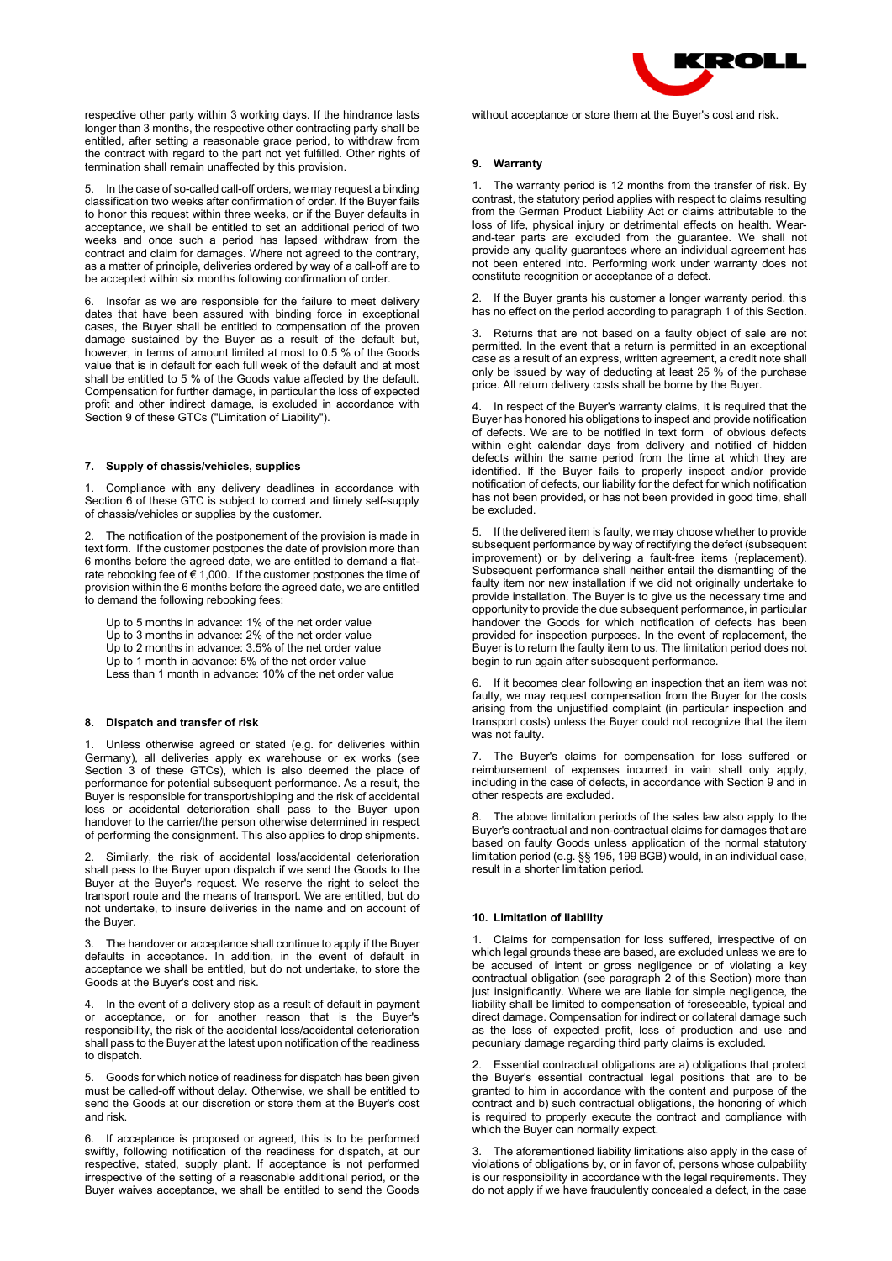respective other party within 3 working days. If the hindrance lasts longer than 3 months, the respective other contracting party shall be entitled, after setting a reasonable grace period, to withdraw from the contract with regard to the part not yet fulfilled. Other rights of termination shall remain unaffected by this provision.

5. In the case of so-called call-off orders, we may request a binding classification two weeks after confirmation of order. If the Buyer fails to honor this request within three weeks, or if the Buyer defaults in acceptance, we shall be entitled to set an additional period of two weeks and once such a period has lapsed withdraw from the contract and claim for damages. Where not agreed to the contrary, as a matter of principle, deliveries ordered by way of a call-off are to be accepted within six months following confirmation of order.

Insofar as we are responsible for the failure to meet delivery dates that have been assured with binding force in exceptional cases, the Buyer shall be entitled to compensation of the proven damage sustained by the Buyer as a result of the default but, however, in terms of amount limited at most to 0.5 % of the Goods value that is in default for each full week of the default and at most shall be entitled to 5 % of the Goods value affected by the default. Compensation for further damage, in particular the loss of expected profit and other indirect damage, is excluded in accordance with Section 9 of these GTCs ("Limitation of Liability").

# **7. Supply of chassis/vehicles, supplies**

1. Compliance with any delivery deadlines in accordance with Section 6 of these GTC is subject to correct and timely self-supply of chassis/vehicles or supplies by the customer.

The notification of the postponement of the provision is made in text form. If the customer postpones the date of provision more than 6 months before the agreed date, we are entitled to demand a flatrate rebooking fee of  $\epsilon$  1,000. If the customer postpones the time of provision within the 6 months before the agreed date, we are entitled to demand the following rebooking fees:

Up to 5 months in advance: 1% of the net order value Up to 3 months in advance: 2% of the net order value Up to 2 months in advance: 3.5% of the net order value Up to 1 month in advance: 5% of the net order value Less than 1 month in advance: 10% of the net order value

# **8. Dispatch and transfer of risk**

1. Unless otherwise agreed or stated (e.g. for deliveries within Germany), all deliveries apply ex warehouse or ex works (see Section 3 of these GTCs), which is also deemed the place of performance for potential subsequent performance. As a result, the Buyer is responsible for transport/shipping and the risk of accidental loss or accidental deterioration shall pass to the Buyer upon handover to the carrier/the person otherwise determined in respect of performing the consignment. This also applies to drop shipments.

Similarly, the risk of accidental loss/accidental deterioration shall pass to the Buyer upon dispatch if we send the Goods to the Buyer at the Buyer's request. We reserve the right to select the transport route and the means of transport. We are entitled, but do not undertake, to insure deliveries in the name and on account of the Buyer.

3. The handover or acceptance shall continue to apply if the Buyer defaults in acceptance. In addition, in the event of default in acceptance we shall be entitled, but do not undertake, to store the Goods at the Buyer's cost and risk.

In the event of a delivery stop as a result of default in payment or acceptance, or for another reason that is the Buyer's responsibility, the risk of the accidental loss/accidental deterioration shall pass to the Buyer at the latest upon notification of the readiness to dispatch.

5. Goods for which notice of readiness for dispatch has been given must be called-off without delay. Otherwise, we shall be entitled to send the Goods at our discretion or store them at the Buyer's cost and risk.

If acceptance is proposed or agreed, this is to be performed swiftly, following notification of the readiness for dispatch, at our respective, stated, supply plant. If acceptance is not performed irrespective of the setting of a reasonable additional period, or the Buyer waives acceptance, we shall be entitled to send the Goods



without acceptance or store them at the Buyer's cost and risk.

# **9. Warranty**

1. The warranty period is 12 months from the transfer of risk. By contrast, the statutory period applies with respect to claims resulting from the German Product Liability Act or claims attributable to the loss of life, physical injury or detrimental effects on health. Wearand-tear parts are excluded from the guarantee. We shall not provide any quality guarantees where an individual agreement has not been entered into. Performing work under warranty does not constitute recognition or acceptance of a defect.

2. If the Buyer grants his customer a longer warranty period, this has no effect on the period according to paragraph 1 of this Section.

3. Returns that are not based on a faulty object of sale are not permitted. In the event that a return is permitted in an exceptional case as a result of an express, written agreement, a credit note shall only be issued by way of deducting at least 25 % of the purchase price. All return delivery costs shall be borne by the Buyer.

In respect of the Buyer's warranty claims, it is required that the Buyer has honored his obligations to inspect and provide notification of defects. We are to be notified in text form of obvious defects within eight calendar days from delivery and notified of hidden defects within the same period from the time at which they are identified. If the Buyer fails to properly inspect and/or provide notification of defects, our liability for the defect for which notification has not been provided, or has not been provided in good time, shall be excluded.

5. If the delivered item is faulty, we may choose whether to provide subsequent performance by way of rectifying the defect (subsequent improvement) or by delivering a fault-free items (replacement). Subsequent performance shall neither entail the dismantling of the faulty item nor new installation if we did not originally undertake to provide installation. The Buyer is to give us the necessary time and opportunity to provide the due subsequent performance, in particular handover the Goods for which notification of defects has been provided for inspection purposes. In the event of replacement, the Buyer is to return the faulty item to us. The limitation period does not begin to run again after subsequent performance.

6. If it becomes clear following an inspection that an item was not faulty, we may request compensation from the Buyer for the costs arising from the unjustified complaint (in particular inspection and transport costs) unless the Buyer could not recognize that the item was not faulty.

The Buyer's claims for compensation for loss suffered or reimbursement of expenses incurred in vain shall only apply, including in the case of defects, in accordance with Section 9 and in other respects are excluded.

8. The above limitation periods of the sales law also apply to the Buyer's contractual and non-contractual claims for damages that are based on faulty Goods unless application of the normal statutory limitation period (e.g. §§ 195, 199 BGB) would, in an individual case, result in a shorter limitation period.

#### **10. Limitation of liability**

1. Claims for compensation for loss suffered, irrespective of on which legal grounds these are based, are excluded unless we are to be accused of intent or gross negligence or of violating a key contractual obligation (see paragraph 2 of this Section) more than just insignificantly. Where we are liable for simple negligence, the liability shall be limited to compensation of foreseeable, typical and direct damage. Compensation for indirect or collateral damage such as the loss of expected profit, loss of production and use and pecuniary damage regarding third party claims is excluded.

2. Essential contractual obligations are a) obligations that protect the Buyer's essential contractual legal positions that are to be granted to him in accordance with the content and purpose of the contract and b) such contractual obligations, the honoring of which is required to properly execute the contract and compliance with which the Buyer can normally expect.

The aforementioned liability limitations also apply in the case of violations of obligations by, or in favor of, persons whose culpability is our responsibility in accordance with the legal requirements. They do not apply if we have fraudulently concealed a defect, in the case